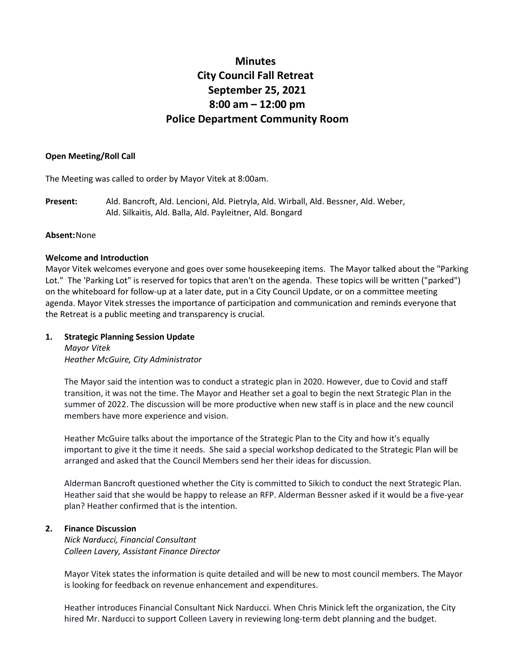# **Minutes City Council Fall Retreat September 25, 2021 8:00 am – 12:00 pm Police Department Community Room**

### **Open Meeting/Roll Call**

The Meeting was called to order by Mayor Vitek at 8:00am.

**Present:** Ald. Bancroft, Ald. Lencioni, Ald. Pietryla, Ald. Wirball, Ald. Bessner, Ald. Weber, Ald. Silkaitis, Ald. Balla, Ald. Payleitner, Ald. Bongard

### **Absent:**None

### **Welcome and Introduction**

Mayor Vitek welcomes everyone and goes over some housekeeping items. The Mayor talked about the "Parking Lot." The 'Parking Lot" is reserved for topics that aren't on the agenda. These topics will be written ("parked") on the whiteboard for follow-up at a later date, put in a City Council Update, or on a committee meeting agenda. Mayor Vitek stresses the importance of participation and communication and reminds everyone that the Retreat is a public meeting and transparency is crucial.

# **1. Strategic Planning Session Update**

*Mayor Vitek Heather McGuire, City Administrator*

The Mayor said the intention was to conduct a strategic plan in 2020. However, due to Covid and staff transition, it was not the time. The Mayor and Heather set a goal to begin the next Strategic Plan in the summer of 2022. The discussion will be more productive when new staff is in place and the new council members have more experience and vision.

Heather McGuire talks about the importance of the Strategic Plan to the City and how it's equally important to give it the time it needs. She said a special workshop dedicated to the Strategic Plan will be arranged and asked that the Council Members send her their ideas for discussion.

Alderman Bancroft questioned whether the City is committed to Sikich to conduct the next Strategic Plan. Heather said that she would be happy to release an RFP. Alderman Bessner asked if it would be a five-year plan? Heather confirmed that is the intention.

#### **2. Finance Discussion**

*Nick Narducci, Financial Consultant Colleen Lavery, Assistant Finance Director*

Mayor Vitek states the information is quite detailed and will be new to most council members. The Mayor is looking for feedback on revenue enhancement and expenditures.

Heather introduces Financial Consultant Nick Narducci. When Chris Minick left the organization, the City hired Mr. Narducci to support Colleen Lavery in reviewing long-term debt planning and the budget.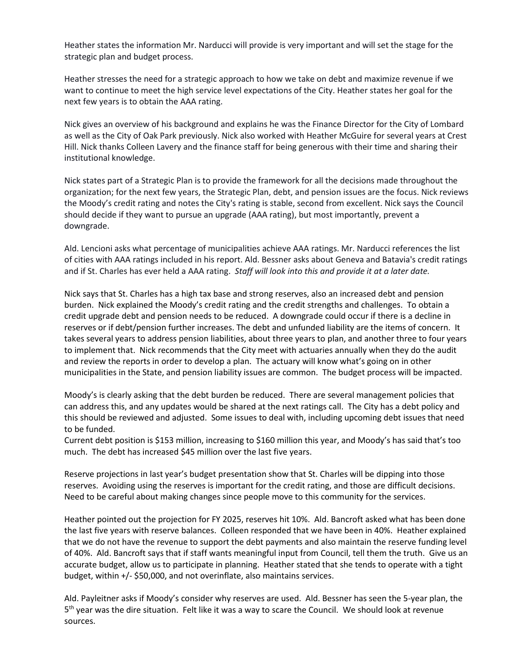Heather states the information Mr. Narducci will provide is very important and will set the stage for the strategic plan and budget process.

Heather stresses the need for a strategic approach to how we take on debt and maximize revenue if we want to continue to meet the high service level expectations of the City. Heather states her goal for the next few years is to obtain the AAA rating.

Nick gives an overview of his background and explains he was the Finance Director for the City of Lombard as well as the City of Oak Park previously. Nick also worked with Heather McGuire for several years at Crest Hill. Nick thanks Colleen Lavery and the finance staff for being generous with their time and sharing their institutional knowledge.

Nick states part of a Strategic Plan is to provide the framework for all the decisions made throughout the organization; for the next few years, the Strategic Plan, debt, and pension issues are the focus. Nick reviews the Moody's credit rating and notes the City's rating is stable, second from excellent. Nick says the Council should decide if they want to pursue an upgrade (AAA rating), but most importantly, prevent a downgrade.

Ald. Lencioni asks what percentage of municipalities achieve AAA ratings. Mr. Narducci references the list of cities with AAA ratings included in his report. Ald. Bessner asks about Geneva and Batavia's credit ratings and if St. Charles has ever held a AAA rating. *Staff will look into this and provide it at a later date.*

Nick says that St. Charles has a high tax base and strong reserves, also an increased debt and pension burden. Nick explained the Moody's credit rating and the credit strengths and challenges. To obtain a credit upgrade debt and pension needs to be reduced. A downgrade could occur if there is a decline in reserves or if debt/pension further increases. The debt and unfunded liability are the items of concern. It takes several years to address pension liabilities, about three years to plan, and another three to four years to implement that. Nick recommends that the City meet with actuaries annually when they do the audit and review the reports in order to develop a plan. The actuary will know what's going on in other municipalities in the State, and pension liability issues are common. The budget process will be impacted.

Moody's is clearly asking that the debt burden be reduced. There are several management policies that can address this, and any updates would be shared at the next ratings call. The City has a debt policy and this should be reviewed and adjusted. Some issues to deal with, including upcoming debt issues that need to be funded.

Current debt position is \$153 million, increasing to \$160 million this year, and Moody's has said that's too much. The debt has increased \$45 million over the last five years.

Reserve projections in last year's budget presentation show that St. Charles will be dipping into those reserves. Avoiding using the reserves is important for the credit rating, and those are difficult decisions. Need to be careful about making changes since people move to this community for the services.

Heather pointed out the projection for FY 2025, reserves hit 10%. Ald. Bancroft asked what has been done the last five years with reserve balances. Colleen responded that we have been in 40%. Heather explained that we do not have the revenue to support the debt payments and also maintain the reserve funding level of 40%. Ald. Bancroft says that if staff wants meaningful input from Council, tell them the truth. Give us an accurate budget, allow us to participate in planning. Heather stated that she tends to operate with a tight budget, within +/- \$50,000, and not overinflate, also maintains services.

Ald. Payleitner asks if Moody's consider why reserves are used. Ald. Bessner has seen the 5-year plan, the 5<sup>th</sup> year was the dire situation. Felt like it was a way to scare the Council. We should look at revenue sources.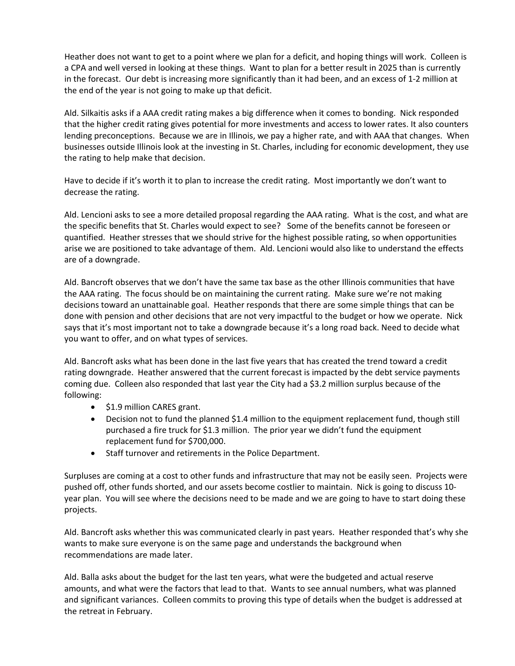Heather does not want to get to a point where we plan for a deficit, and hoping things will work. Colleen is a CPA and well versed in looking at these things. Want to plan for a better result in 2025 than is currently in the forecast. Our debt is increasing more significantly than it had been, and an excess of 1-2 million at the end of the year is not going to make up that deficit.

Ald. Silkaitis asks if a AAA credit rating makes a big difference when it comes to bonding. Nick responded that the higher credit rating gives potential for more investments and access to lower rates. It also counters lending preconceptions. Because we are in Illinois, we pay a higher rate, and with AAA that changes. When businesses outside Illinois look at the investing in St. Charles, including for economic development, they use the rating to help make that decision.

Have to decide if it's worth it to plan to increase the credit rating. Most importantly we don't want to decrease the rating.

Ald. Lencioni asks to see a more detailed proposal regarding the AAA rating. What is the cost, and what are the specific benefits that St. Charles would expect to see? Some of the benefits cannot be foreseen or quantified. Heather stresses that we should strive for the highest possible rating, so when opportunities arise we are positioned to take advantage of them. Ald. Lencioni would also like to understand the effects are of a downgrade.

Ald. Bancroft observes that we don't have the same tax base as the other Illinois communities that have the AAA rating. The focus should be on maintaining the current rating. Make sure we're not making decisions toward an unattainable goal. Heather responds that there are some simple things that can be done with pension and other decisions that are not very impactful to the budget or how we operate. Nick says that it's most important not to take a downgrade because it's a long road back. Need to decide what you want to offer, and on what types of services.

Ald. Bancroft asks what has been done in the last five years that has created the trend toward a credit rating downgrade. Heather answered that the current forecast is impacted by the debt service payments coming due. Colleen also responded that last year the City had a \$3.2 million surplus because of the following:

- \$1.9 million CARES grant.
- Decision not to fund the planned \$1.4 million to the equipment replacement fund, though still purchased a fire truck for \$1.3 million. The prior year we didn't fund the equipment replacement fund for \$700,000.
- Staff turnover and retirements in the Police Department.

Surpluses are coming at a cost to other funds and infrastructure that may not be easily seen. Projects were pushed off, other funds shorted, and our assets become costlier to maintain. Nick is going to discuss 10 year plan. You will see where the decisions need to be made and we are going to have to start doing these projects.

Ald. Bancroft asks whether this was communicated clearly in past years. Heather responded that's why she wants to make sure everyone is on the same page and understands the background when recommendations are made later.

Ald. Balla asks about the budget for the last ten years, what were the budgeted and actual reserve amounts, and what were the factors that lead to that. Wants to see annual numbers, what was planned and significant variances. Colleen commits to proving this type of details when the budget is addressed at the retreat in February.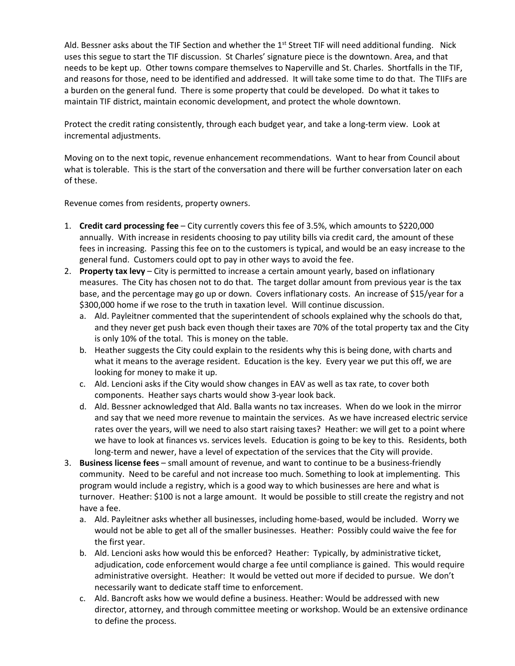Ald. Bessner asks about the TIF Section and whether the 1<sup>st</sup> Street TIF will need additional funding. Nick uses this segue to start the TIF discussion. St Charles' signature piece is the downtown. Area, and that needs to be kept up. Other towns compare themselves to Naperville and St. Charles. Shortfalls in the TIF, and reasons for those, need to be identified and addressed. It will take some time to do that. The TIIFs are a burden on the general fund. There is some property that could be developed. Do what it takes to maintain TIF district, maintain economic development, and protect the whole downtown.

Protect the credit rating consistently, through each budget year, and take a long-term view. Look at incremental adjustments.

Moving on to the next topic, revenue enhancement recommendations. Want to hear from Council about what is tolerable. This is the start of the conversation and there will be further conversation later on each of these.

Revenue comes from residents, property owners.

- 1. **Credit card processing fee** City currently covers this fee of 3.5%, which amounts to \$220,000 annually. With increase in residents choosing to pay utility bills via credit card, the amount of these fees in increasing. Passing this fee on to the customers is typical, and would be an easy increase to the general fund. Customers could opt to pay in other ways to avoid the fee.
- 2. **Property tax levy** City is permitted to increase a certain amount yearly, based on inflationary measures. The City has chosen not to do that. The target dollar amount from previous year is the tax base, and the percentage may go up or down. Covers inflationary costs. An increase of \$15/year for a \$300,000 home if we rose to the truth in taxation level. Will continue discussion.
	- a. Ald. Payleitner commented that the superintendent of schools explained why the schools do that, and they never get push back even though their taxes are 70% of the total property tax and the City is only 10% of the total. This is money on the table.
	- b. Heather suggests the City could explain to the residents why this is being done, with charts and what it means to the average resident. Education is the key. Every year we put this off, we are looking for money to make it up.
	- c. Ald. Lencioni asks if the City would show changes in EAV as well as tax rate, to cover both components. Heather says charts would show 3-year look back.
	- d. Ald. Bessner acknowledged that Ald. Balla wants no tax increases. When do we look in the mirror and say that we need more revenue to maintain the services. As we have increased electric service rates over the years, will we need to also start raising taxes? Heather: we will get to a point where we have to look at finances vs. services levels. Education is going to be key to this. Residents, both long-term and newer, have a level of expectation of the services that the City will provide.
- 3. **Business license fees** small amount of revenue, and want to continue to be a business-friendly community. Need to be careful and not increase too much. Something to look at implementing. This program would include a registry, which is a good way to which businesses are here and what is turnover. Heather: \$100 is not a large amount. It would be possible to still create the registry and not have a fee.
	- a. Ald. Payleitner asks whether all businesses, including home-based, would be included. Worry we would not be able to get all of the smaller businesses. Heather: Possibly could waive the fee for the first year.
	- b. Ald. Lencioni asks how would this be enforced? Heather: Typically, by administrative ticket, adjudication, code enforcement would charge a fee until compliance is gained. This would require administrative oversight. Heather: It would be vetted out more if decided to pursue. We don't necessarily want to dedicate staff time to enforcement.
	- c. Ald. Bancroft asks how we would define a business. Heather: Would be addressed with new director, attorney, and through committee meeting or workshop. Would be an extensive ordinance to define the process.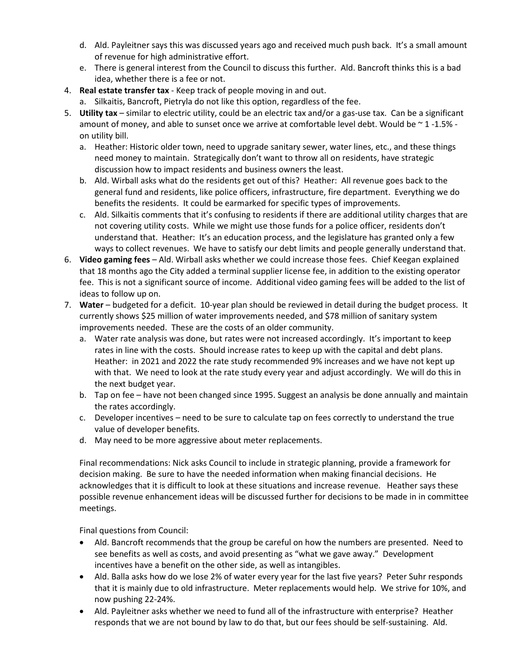- d. Ald. Payleitner says this was discussed years ago and received much push back. It's a small amount of revenue for high administrative effort.
- e. There is general interest from the Council to discuss this further. Ald. Bancroft thinks this is a bad idea, whether there is a fee or not.
- 4. **Real estate transfer tax** Keep track of people moving in and out.
	- a. Silkaitis, Bancroft, Pietryla do not like this option, regardless of the fee.
- 5. **Utility tax** similar to electric utility, could be an electric tax and/or a gas-use tax. Can be a significant amount of money, and able to sunset once we arrive at comfortable level debt. Would be  $\sim$  1 -1.5% on utility bill.
	- a. Heather: Historic older town, need to upgrade sanitary sewer, water lines, etc., and these things need money to maintain. Strategically don't want to throw all on residents, have strategic discussion how to impact residents and business owners the least.
	- b. Ald. Wirball asks what do the residents get out of this? Heather: All revenue goes back to the general fund and residents, like police officers, infrastructure, fire department. Everything we do benefits the residents. It could be earmarked for specific types of improvements.
	- c. Ald. Silkaitis comments that it's confusing to residents if there are additional utility charges that are not covering utility costs. While we might use those funds for a police officer, residents don't understand that. Heather: It's an education process, and the legislature has granted only a few ways to collect revenues. We have to satisfy our debt limits and people generally understand that.
- 6. **Video gaming fees** Ald. Wirball asks whether we could increase those fees. Chief Keegan explained that 18 months ago the City added a terminal supplier license fee, in addition to the existing operator fee. This is not a significant source of income. Additional video gaming fees will be added to the list of ideas to follow up on.
- 7. **Water** budgeted for a deficit. 10-year plan should be reviewed in detail during the budget process. It currently shows \$25 million of water improvements needed, and \$78 million of sanitary system improvements needed. These are the costs of an older community.
	- a. Water rate analysis was done, but rates were not increased accordingly. It's important to keep rates in line with the costs. Should increase rates to keep up with the capital and debt plans. Heather: in 2021 and 2022 the rate study recommended 9% increases and we have not kept up with that. We need to look at the rate study every year and adjust accordingly. We will do this in the next budget year.
	- b. Tap on fee have not been changed since 1995. Suggest an analysis be done annually and maintain the rates accordingly.
	- c. Developer incentives need to be sure to calculate tap on fees correctly to understand the true value of developer benefits.
	- d. May need to be more aggressive about meter replacements.

Final recommendations: Nick asks Council to include in strategic planning, provide a framework for decision making. Be sure to have the needed information when making financial decisions. He acknowledges that it is difficult to look at these situations and increase revenue. Heather says these possible revenue enhancement ideas will be discussed further for decisions to be made in in committee meetings.

Final questions from Council:

- Ald. Bancroft recommends that the group be careful on how the numbers are presented. Need to see benefits as well as costs, and avoid presenting as "what we gave away." Development incentives have a benefit on the other side, as well as intangibles.
- Ald. Balla asks how do we lose 2% of water every year for the last five years? Peter Suhr responds that it is mainly due to old infrastructure. Meter replacements would help. We strive for 10%, and now pushing 22-24%.
- Ald. Payleitner asks whether we need to fund all of the infrastructure with enterprise? Heather responds that we are not bound by law to do that, but our fees should be self-sustaining. Ald.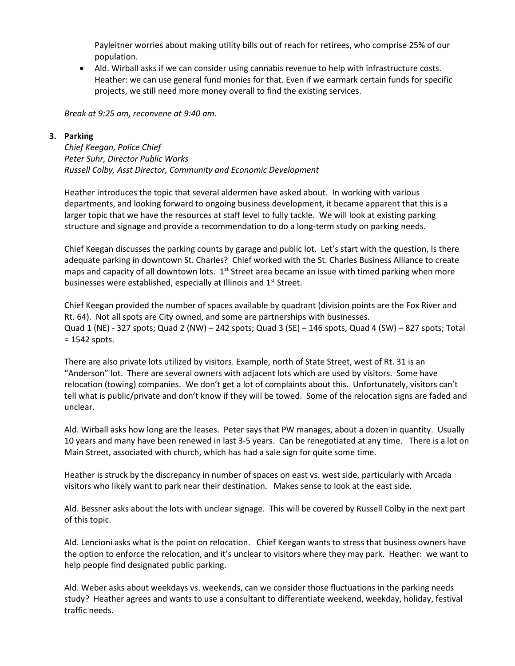Payleitner worries about making utility bills out of reach for retirees, who comprise 25% of our population.

• Ald. Wirball asks if we can consider using cannabis revenue to help with infrastructure costs. Heather: we can use general fund monies for that. Even if we earmark certain funds for specific projects, we still need more money overall to find the existing services.

*Break at 9:25 am, reconvene at 9:40 am.*

## **3. Parking**

*Chief Keegan, Police Chief Peter Suhr, Director Public Works Russell Colby, Asst Director, Community and Economic Development*

Heather introduces the topic that several aldermen have asked about. In working with various departments, and looking forward to ongoing business development, it became apparent that this is a larger topic that we have the resources at staff level to fully tackle. We will look at existing parking structure and signage and provide a recommendation to do a long-term study on parking needs.

Chief Keegan discusses the parking counts by garage and public lot. Let's start with the question, Is there adequate parking in downtown St. Charles? Chief worked with the St. Charles Business Alliance to create maps and capacity of all downtown lots.  $1<sup>st</sup>$  Street area became an issue with timed parking when more businesses were established, especially at Illinois and 1<sup>st</sup> Street.

Chief Keegan provided the number of spaces available by quadrant (division points are the Fox River and Rt. 64). Not all spots are City owned, and some are partnerships with businesses. Quad 1 (NE) - 327 spots; Quad 2 (NW) – 242 spots; Quad 3 (SE) – 146 spots, Quad 4 (SW) – 827 spots; Total = 1542 spots.

There are also private lots utilized by visitors. Example, north of State Street, west of Rt. 31 is an "Anderson" lot. There are several owners with adjacent lots which are used by visitors. Some have relocation (towing) companies. We don't get a lot of complaints about this. Unfortunately, visitors can't tell what is public/private and don't know if they will be towed. Some of the relocation signs are faded and unclear.

Ald. Wirball asks how long are the leases. Peter says that PW manages, about a dozen in quantity. Usually 10 years and many have been renewed in last 3-5 years. Can be renegotiated at any time. There is a lot on Main Street, associated with church, which has had a sale sign for quite some time.

Heather is struck by the discrepancy in number of spaces on east vs. west side, particularly with Arcada visitors who likely want to park near their destination. Makes sense to look at the east side.

Ald. Bessner asks about the lots with unclear signage. This will be covered by Russell Colby in the next part of this topic.

Ald. Lencioni asks what is the point on relocation. Chief Keegan wants to stress that business owners have the option to enforce the relocation, and it's unclear to visitors where they may park. Heather: we want to help people find designated public parking.

Ald. Weber asks about weekdays vs. weekends, can we consider those fluctuations in the parking needs study? Heather agrees and wants to use a consultant to differentiate weekend, weekday, holiday, festival traffic needs.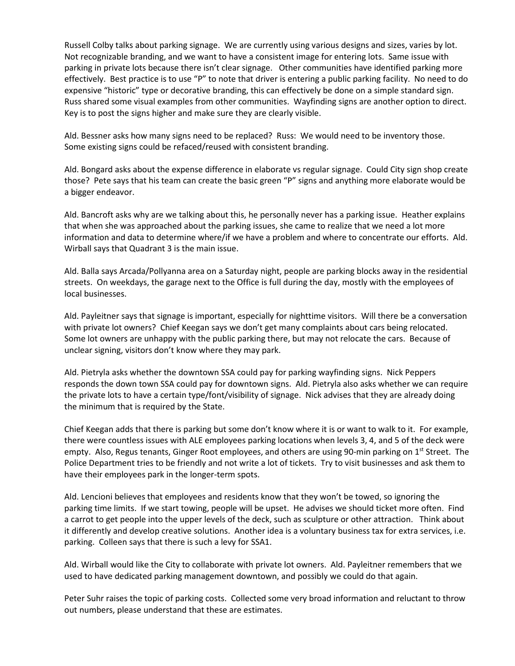Russell Colby talks about parking signage. We are currently using various designs and sizes, varies by lot. Not recognizable branding, and we want to have a consistent image for entering lots. Same issue with parking in private lots because there isn't clear signage. Other communities have identified parking more effectively. Best practice is to use "P" to note that driver is entering a public parking facility. No need to do expensive "historic" type or decorative branding, this can effectively be done on a simple standard sign. Russ shared some visual examples from other communities. Wayfinding signs are another option to direct. Key is to post the signs higher and make sure they are clearly visible.

Ald. Bessner asks how many signs need to be replaced? Russ: We would need to be inventory those. Some existing signs could be refaced/reused with consistent branding.

Ald. Bongard asks about the expense difference in elaborate vs regular signage. Could City sign shop create those? Pete says that his team can create the basic green "P" signs and anything more elaborate would be a bigger endeavor.

Ald. Bancroft asks why are we talking about this, he personally never has a parking issue. Heather explains that when she was approached about the parking issues, she came to realize that we need a lot more information and data to determine where/if we have a problem and where to concentrate our efforts. Ald. Wirball says that Quadrant 3 is the main issue.

Ald. Balla says Arcada/Pollyanna area on a Saturday night, people are parking blocks away in the residential streets. On weekdays, the garage next to the Office is full during the day, mostly with the employees of local businesses.

Ald. Payleitner says that signage is important, especially for nighttime visitors. Will there be a conversation with private lot owners? Chief Keegan says we don't get many complaints about cars being relocated. Some lot owners are unhappy with the public parking there, but may not relocate the cars. Because of unclear signing, visitors don't know where they may park.

Ald. Pietryla asks whether the downtown SSA could pay for parking wayfinding signs. Nick Peppers responds the down town SSA could pay for downtown signs. Ald. Pietryla also asks whether we can require the private lots to have a certain type/font/visibility of signage. Nick advises that they are already doing the minimum that is required by the State.

Chief Keegan adds that there is parking but some don't know where it is or want to walk to it. For example, there were countless issues with ALE employees parking locations when levels 3, 4, and 5 of the deck were empty. Also, Regus tenants, Ginger Root employees, and others are using 90-min parking on 1<sup>st</sup> Street. The Police Department tries to be friendly and not write a lot of tickets. Try to visit businesses and ask them to have their employees park in the longer-term spots.

Ald. Lencioni believes that employees and residents know that they won't be towed, so ignoring the parking time limits. If we start towing, people will be upset. He advises we should ticket more often. Find a carrot to get people into the upper levels of the deck, such as sculpture or other attraction. Think about it differently and develop creative solutions. Another idea is a voluntary business tax for extra services, i.e. parking. Colleen says that there is such a levy for SSA1.

Ald. Wirball would like the City to collaborate with private lot owners. Ald. Payleitner remembers that we used to have dedicated parking management downtown, and possibly we could do that again.

Peter Suhr raises the topic of parking costs. Collected some very broad information and reluctant to throw out numbers, please understand that these are estimates.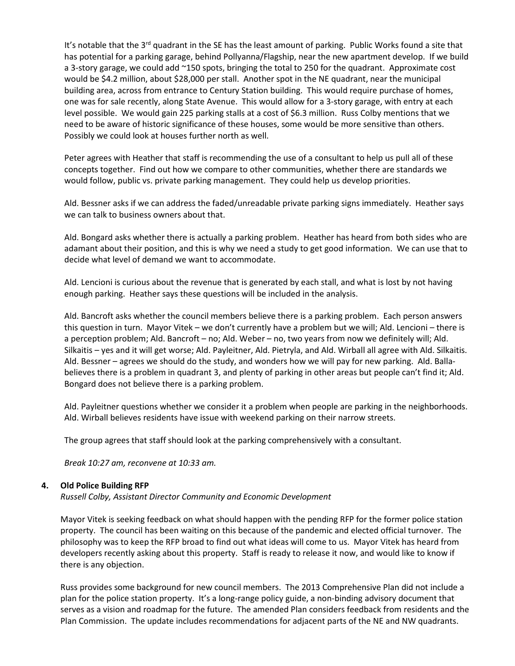It's notable that the 3<sup>rd</sup> quadrant in the SE has the least amount of parking. Public Works found a site that has potential for a parking garage, behind Pollyanna/Flagship, near the new apartment develop. If we build a 3-story garage, we could add ~150 spots, bringing the total to 250 for the quadrant. Approximate cost would be \$4.2 million, about \$28,000 per stall. Another spot in the NE quadrant, near the municipal building area, across from entrance to Century Station building. This would require purchase of homes, one was for sale recently, along State Avenue. This would allow for a 3-story garage, with entry at each level possible. We would gain 225 parking stalls at a cost of \$6.3 million. Russ Colby mentions that we need to be aware of historic significance of these houses, some would be more sensitive than others. Possibly we could look at houses further north as well.

Peter agrees with Heather that staff is recommending the use of a consultant to help us pull all of these concepts together. Find out how we compare to other communities, whether there are standards we would follow, public vs. private parking management. They could help us develop priorities.

Ald. Bessner asks if we can address the faded/unreadable private parking signs immediately. Heather says we can talk to business owners about that.

Ald. Bongard asks whether there is actually a parking problem. Heather has heard from both sides who are adamant about their position, and this is why we need a study to get good information. We can use that to decide what level of demand we want to accommodate.

Ald. Lencioni is curious about the revenue that is generated by each stall, and what is lost by not having enough parking. Heather says these questions will be included in the analysis.

Ald. Bancroft asks whether the council members believe there is a parking problem. Each person answers this question in turn. Mayor Vitek – we don't currently have a problem but we will; Ald. Lencioni – there is a perception problem; Ald. Bancroft – no; Ald. Weber – no, two years from now we definitely will; Ald. Silkaitis – yes and it will get worse; Ald. Payleitner, Ald. Pietryla, and Ald. Wirball all agree with Ald. Silkaitis. Ald. Bessner – agrees we should do the study, and wonders how we will pay for new parking. Ald. Ballabelieves there is a problem in quadrant 3, and plenty of parking in other areas but people can't find it; Ald. Bongard does not believe there is a parking problem.

Ald. Payleitner questions whether we consider it a problem when people are parking in the neighborhoods. Ald. Wirball believes residents have issue with weekend parking on their narrow streets.

The group agrees that staff should look at the parking comprehensively with a consultant.

*Break 10:27 am, reconvene at 10:33 am.*

# **4. Old Police Building RFP**

*Russell Colby, Assistant Director Community and Economic Development*

Mayor Vitek is seeking feedback on what should happen with the pending RFP for the former police station property. The council has been waiting on this because of the pandemic and elected official turnover. The philosophy was to keep the RFP broad to find out what ideas will come to us. Mayor Vitek has heard from developers recently asking about this property. Staff is ready to release it now, and would like to know if there is any objection.

Russ provides some background for new council members. The 2013 Comprehensive Plan did not include a plan for the police station property. It's a long-range policy guide, a non-binding advisory document that serves as a vision and roadmap for the future. The amended Plan considers feedback from residents and the Plan Commission. The update includes recommendations for adjacent parts of the NE and NW quadrants.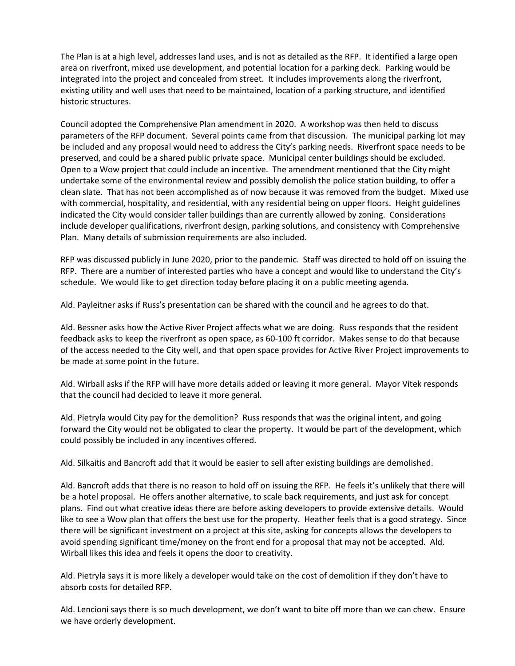The Plan is at a high level, addresses land uses, and is not as detailed as the RFP. It identified a large open area on riverfront, mixed use development, and potential location for a parking deck. Parking would be integrated into the project and concealed from street. It includes improvements along the riverfront, existing utility and well uses that need to be maintained, location of a parking structure, and identified historic structures.

Council adopted the Comprehensive Plan amendment in 2020. A workshop was then held to discuss parameters of the RFP document. Several points came from that discussion. The municipal parking lot may be included and any proposal would need to address the City's parking needs. Riverfront space needs to be preserved, and could be a shared public private space. Municipal center buildings should be excluded. Open to a Wow project that could include an incentive. The amendment mentioned that the City might undertake some of the environmental review and possibly demolish the police station building, to offer a clean slate. That has not been accomplished as of now because it was removed from the budget. Mixed use with commercial, hospitality, and residential, with any residential being on upper floors. Height guidelines indicated the City would consider taller buildings than are currently allowed by zoning. Considerations include developer qualifications, riverfront design, parking solutions, and consistency with Comprehensive Plan. Many details of submission requirements are also included.

RFP was discussed publicly in June 2020, prior to the pandemic. Staff was directed to hold off on issuing the RFP. There are a number of interested parties who have a concept and would like to understand the City's schedule. We would like to get direction today before placing it on a public meeting agenda.

Ald. Payleitner asks if Russ's presentation can be shared with the council and he agrees to do that.

Ald. Bessner asks how the Active River Project affects what we are doing. Russ responds that the resident feedback asks to keep the riverfront as open space, as 60-100 ft corridor. Makes sense to do that because of the access needed to the City well, and that open space provides for Active River Project improvements to be made at some point in the future.

Ald. Wirball asks if the RFP will have more details added or leaving it more general. Mayor Vitek responds that the council had decided to leave it more general.

Ald. Pietryla would City pay for the demolition? Russ responds that was the original intent, and going forward the City would not be obligated to clear the property. It would be part of the development, which could possibly be included in any incentives offered.

Ald. Silkaitis and Bancroft add that it would be easier to sell after existing buildings are demolished.

Ald. Bancroft adds that there is no reason to hold off on issuing the RFP. He feels it's unlikely that there will be a hotel proposal. He offers another alternative, to scale back requirements, and just ask for concept plans. Find out what creative ideas there are before asking developers to provide extensive details. Would like to see a Wow plan that offers the best use for the property. Heather feels that is a good strategy. Since there will be significant investment on a project at this site, asking for concepts allows the developers to avoid spending significant time/money on the front end for a proposal that may not be accepted. Ald. Wirball likes this idea and feels it opens the door to creativity.

Ald. Pietryla says it is more likely a developer would take on the cost of demolition if they don't have to absorb costs for detailed RFP.

Ald. Lencioni says there is so much development, we don't want to bite off more than we can chew. Ensure we have orderly development.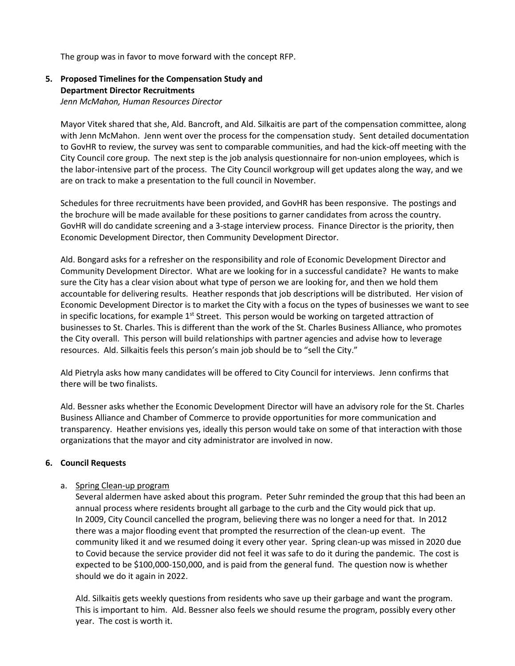The group was in favor to move forward with the concept RFP.

# **5. Proposed Timelines for the Compensation Study and Department Director Recruitments**

*Jenn McMahon, Human Resources Director*

Mayor Vitek shared that she, Ald. Bancroft, and Ald. Silkaitis are part of the compensation committee, along with Jenn McMahon. Jenn went over the process for the compensation study. Sent detailed documentation to GovHR to review, the survey was sent to comparable communities, and had the kick-off meeting with the City Council core group. The next step is the job analysis questionnaire for non-union employees, which is the labor-intensive part of the process. The City Council workgroup will get updates along the way, and we are on track to make a presentation to the full council in November.

Schedules for three recruitments have been provided, and GovHR has been responsive. The postings and the brochure will be made available for these positions to garner candidates from across the country. GovHR will do candidate screening and a 3-stage interview process. Finance Director is the priority, then Economic Development Director, then Community Development Director.

Ald. Bongard asks for a refresher on the responsibility and role of Economic Development Director and Community Development Director. What are we looking for in a successful candidate? He wants to make sure the City has a clear vision about what type of person we are looking for, and then we hold them accountable for delivering results. Heather responds that job descriptions will be distributed. Her vision of Economic Development Director is to market the City with a focus on the types of businesses we want to see in specific locations, for example  $1<sup>st</sup>$  Street. This person would be working on targeted attraction of businesses to St. Charles. This is different than the work of the St. Charles Business Alliance, who promotes the City overall. This person will build relationships with partner agencies and advise how to leverage resources. Ald. Silkaitis feels this person's main job should be to "sell the City."

Ald Pietryla asks how many candidates will be offered to City Council for interviews. Jenn confirms that there will be two finalists.

Ald. Bessner asks whether the Economic Development Director will have an advisory role for the St. Charles Business Alliance and Chamber of Commerce to provide opportunities for more communication and transparency. Heather envisions yes, ideally this person would take on some of that interaction with those organizations that the mayor and city administrator are involved in now.

# **6. Council Requests**

# a. Spring Clean-up program

Several aldermen have asked about this program. Peter Suhr reminded the group that this had been an annual process where residents brought all garbage to the curb and the City would pick that up. In 2009, City Council cancelled the program, believing there was no longer a need for that. In 2012 there was a major flooding event that prompted the resurrection of the clean-up event. The community liked it and we resumed doing it every other year. Spring clean-up was missed in 2020 due to Covid because the service provider did not feel it was safe to do it during the pandemic. The cost is expected to be \$100,000-150,000, and is paid from the general fund. The question now is whether should we do it again in 2022.

Ald. Silkaitis gets weekly questions from residents who save up their garbage and want the program. This is important to him. Ald. Bessner also feels we should resume the program, possibly every other year. The cost is worth it.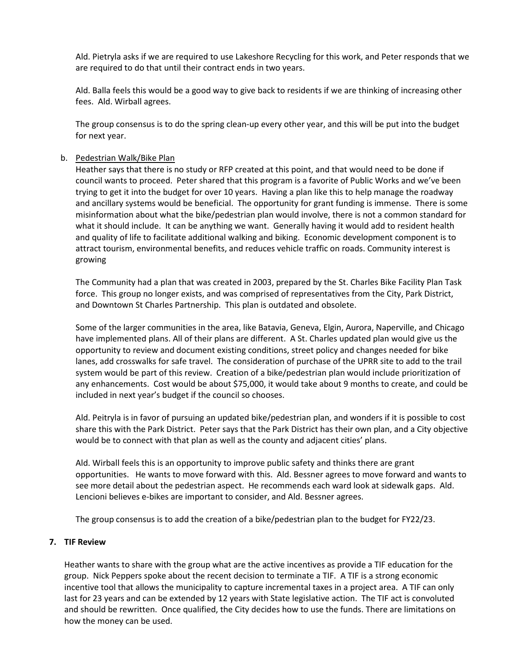Ald. Pietryla asks if we are required to use Lakeshore Recycling for this work, and Peter responds that we are required to do that until their contract ends in two years.

Ald. Balla feels this would be a good way to give back to residents if we are thinking of increasing other fees. Ald. Wirball agrees.

The group consensus is to do the spring clean-up every other year, and this will be put into the budget for next year.

### b. Pedestrian Walk/Bike Plan

Heather says that there is no study or RFP created at this point, and that would need to be done if council wants to proceed. Peter shared that this program is a favorite of Public Works and we've been trying to get it into the budget for over 10 years. Having a plan like this to help manage the roadway and ancillary systems would be beneficial. The opportunity for grant funding is immense. There is some misinformation about what the bike/pedestrian plan would involve, there is not a common standard for what it should include. It can be anything we want. Generally having it would add to resident health and quality of life to facilitate additional walking and biking. Economic development component is to attract tourism, environmental benefits, and reduces vehicle traffic on roads. Community interest is growing

The Community had a plan that was created in 2003, prepared by the St. Charles Bike Facility Plan Task force. This group no longer exists, and was comprised of representatives from the City, Park District, and Downtown St Charles Partnership. This plan is outdated and obsolete.

Some of the larger communities in the area, like Batavia, Geneva, Elgin, Aurora, Naperville, and Chicago have implemented plans. All of their plans are different. A St. Charles updated plan would give us the opportunity to review and document existing conditions, street policy and changes needed for bike lanes, add crosswalks for safe travel. The consideration of purchase of the UPRR site to add to the trail system would be part of this review. Creation of a bike/pedestrian plan would include prioritization of any enhancements. Cost would be about \$75,000, it would take about 9 months to create, and could be included in next year's budget if the council so chooses.

Ald. Peitryla is in favor of pursuing an updated bike/pedestrian plan, and wonders if it is possible to cost share this with the Park District. Peter says that the Park District has their own plan, and a City objective would be to connect with that plan as well as the county and adjacent cities' plans.

Ald. Wirball feels this is an opportunity to improve public safety and thinks there are grant opportunities. He wants to move forward with this. Ald. Bessner agrees to move forward and wants to see more detail about the pedestrian aspect. He recommends each ward look at sidewalk gaps. Ald. Lencioni believes e-bikes are important to consider, and Ald. Bessner agrees.

The group consensus is to add the creation of a bike/pedestrian plan to the budget for FY22/23.

# **7. TIF Review**

Heather wants to share with the group what are the active incentives as provide a TIF education for the group. Nick Peppers spoke about the recent decision to terminate a TIF. A TIF is a strong economic incentive tool that allows the municipality to capture incremental taxes in a project area. A TIF can only last for 23 years and can be extended by 12 years with State legislative action. The TIF act is convoluted and should be rewritten. Once qualified, the City decides how to use the funds. There are limitations on how the money can be used.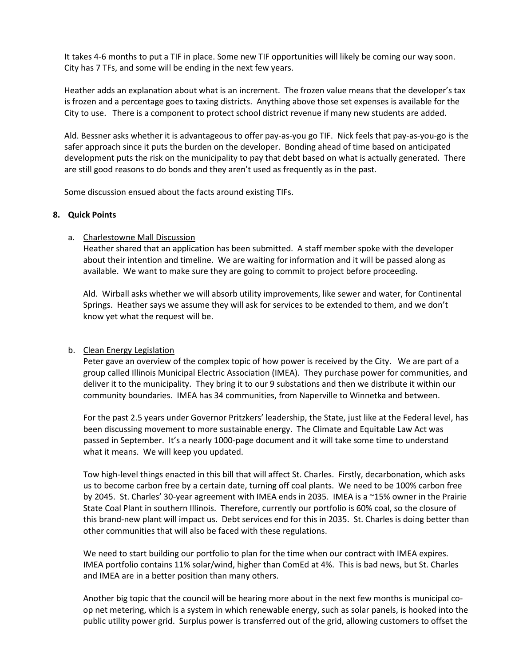It takes 4-6 months to put a TIF in place. Some new TIF opportunities will likely be coming our way soon. City has 7 TFs, and some will be ending in the next few years.

Heather adds an explanation about what is an increment. The frozen value means that the developer's tax is frozen and a percentage goes to taxing districts. Anything above those set expenses is available for the City to use. There is a component to protect school district revenue if many new students are added.

Ald. Bessner asks whether it is advantageous to offer pay-as-you go TIF. Nick feels that pay-as-you-go is the safer approach since it puts the burden on the developer. Bonding ahead of time based on anticipated development puts the risk on the municipality to pay that debt based on what is actually generated. There are still good reasons to do bonds and they aren't used as frequently as in the past.

Some discussion ensued about the facts around existing TIFs.

### **8. Quick Points**

### a. Charlestowne Mall Discussion

Heather shared that an application has been submitted. A staff member spoke with the developer about their intention and timeline. We are waiting for information and it will be passed along as available. We want to make sure they are going to commit to project before proceeding.

Ald. Wirball asks whether we will absorb utility improvements, like sewer and water, for Continental Springs. Heather says we assume they will ask for services to be extended to them, and we don't know yet what the request will be.

# b. Clean Energy Legislation

Peter gave an overview of the complex topic of how power is received by the City. We are part of a group called Illinois Municipal Electric Association (IMEA). They purchase power for communities, and deliver it to the municipality. They bring it to our 9 substations and then we distribute it within our community boundaries. IMEA has 34 communities, from Naperville to Winnetka and between.

For the past 2.5 years under Governor Pritzkers' leadership, the State, just like at the Federal level, has been discussing movement to more sustainable energy. The Climate and Equitable Law Act was passed in September. It's a nearly 1000-page document and it will take some time to understand what it means. We will keep you updated.

Tow high-level things enacted in this bill that will affect St. Charles. Firstly, decarbonation, which asks us to become carbon free by a certain date, turning off coal plants. We need to be 100% carbon free by 2045. St. Charles' 30-year agreement with IMEA ends in 2035. IMEA is a ~15% owner in the Prairie State Coal Plant in southern Illinois. Therefore, currently our portfolio is 60% coal, so the closure of this brand-new plant will impact us. Debt services end for this in 2035. St. Charles is doing better than other communities that will also be faced with these regulations.

We need to start building our portfolio to plan for the time when our contract with IMEA expires. IMEA portfolio contains 11% solar/wind, higher than ComEd at 4%. This is bad news, but St. Charles and IMEA are in a better position than many others.

Another big topic that the council will be hearing more about in the next few months is municipal coop net metering, which is a system in which renewable energy, such as solar panels, is hooked into the public utility power grid. Surplus power is transferred out of the grid, allowing customers to offset the